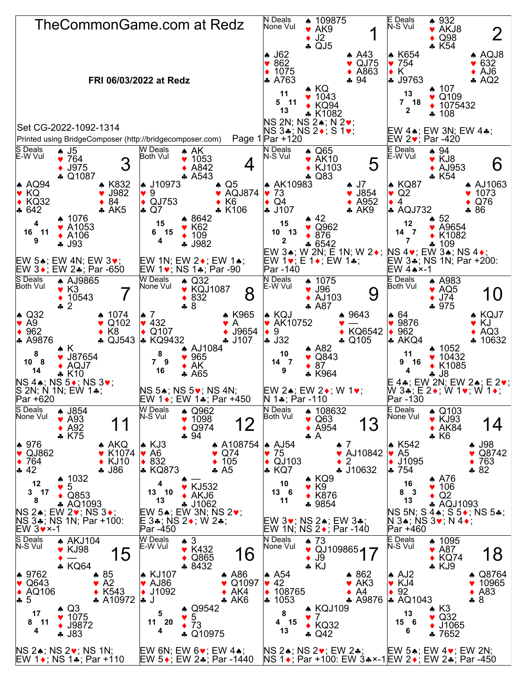